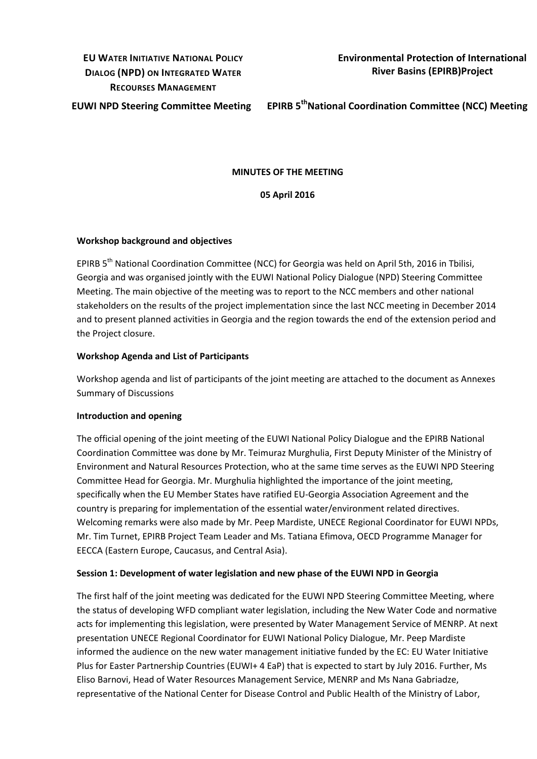# **EU WATER INITIATIVE NATIONAL POLICY DIALOG (NPD) ON INTEGRATED WATER RECOURSES MANAGEMENT**

**Environmental Protection of International River Basins (EPIRB)Project**

**EUWI NPD Steering Committee Meeting EPIRB 5thNational Coordination Committee (NCC) Meeting** 

#### **MINUTES OF THE MEETING**

**05 April 2016**

## **Workshop background and objectives**

EPIRB 5<sup>th</sup> National Coordination Committee (NCC) for Georgia was held on April 5th, 2016 in Tbilisi, Georgia and was organised jointly with the EUWI National Policy Dialogue (NPD) Steering Committee Meeting. The main objective of the meeting was to report to the NCC members and other national stakeholders on the results of the project implementation since the last NCC meeting in December 2014 and to present planned activities in Georgia and the region towards the end of the extension period and the Project closure.

## **Workshop Agenda and List of Participants**

Workshop agenda and list of participants of the joint meeting are attached to the document as Annexes Summary of Discussions

#### **Introduction and opening**

The official opening of the joint meeting of the EUWI National Policy Dialogue and the EPIRB National Coordination Committee was done by Mr. Teimuraz Murghulia, First Deputy Minister of the Ministry of Environment and Natural Resources Protection, who at the same time serves as the EUWI NPD Steering Committee Head for Georgia. Mr. Murghulia highlighted the importance of the joint meeting, specifically when the EU Member States have ratified EU-Georgia Association Agreement and the country is preparing for implementation of the essential water/environment related directives. Welcoming remarks were also made by Mr. Peep Mardiste, UNECE Regional Coordinator for EUWI NPDs, Mr. Tim Turnet, EPIRB Project Team Leader and Ms. Tatiana Efimova, OECD Programme Manager for EECCA (Eastern Europe, Caucasus, and Central Asia).

#### **Session 1: Development of water legislation and new phase of the EUWI NPD in Georgia**

The first half of the joint meeting was dedicated for the EUWI NPD Steering Committee Meeting, where the status of developing WFD compliant water legislation, including the New Water Code and normative acts for implementing this legislation, were presented by Water Management Service of MENRP. At next presentation UNECE Regional Coordinator for EUWI National Policy Dialogue, Mr. Peep Mardiste informed the audience on the new water management initiative funded by the EC: EU Water Initiative Plus for Easter Partnership Countries (EUWI+ 4 EaP) that is expected to start by July 2016. Further, Ms Eliso Barnovi, Head of Water Resources Management Service, MENRP and Ms Nana Gabriadze, representative of the National Center for Disease Control and Public Health of the Ministry of Labor,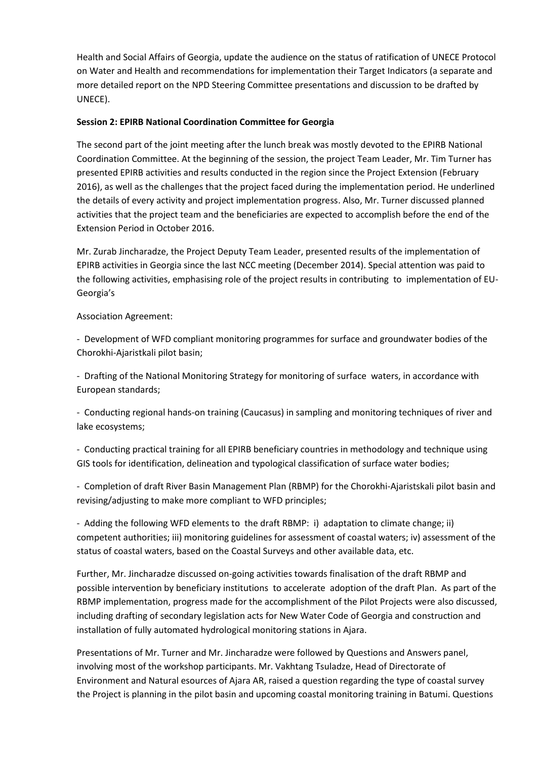Health and Social Affairs of Georgia, update the audience on the status of ratification of UNECE Protocol on Water and Health and recommendations for implementation their Target Indicators (a separate and more detailed report on the NPD Steering Committee presentations and discussion to be drafted by UNECE).

# **Session 2: EPIRB National Coordination Committee for Georgia**

The second part of the joint meeting after the lunch break was mostly devoted to the EPIRB National Coordination Committee. At the beginning of the session, the project Team Leader, Mr. Tim Turner has presented EPIRB activities and results conducted in the region since the Project Extension (February 2016), as well as the challenges that the project faced during the implementation period. He underlined the details of every activity and project implementation progress. Also, Mr. Turner discussed planned activities that the project team and the beneficiaries are expected to accomplish before the end of the Extension Period in October 2016.

Mr. Zurab Jincharadze, the Project Deputy Team Leader, presented results of the implementation of EPIRB activities in Georgia since the last NCC meeting (December 2014). Special attention was paid to the following activities, emphasising role of the project results in contributing to implementation of EU-Georgia's

Association Agreement:

- Development of WFD compliant monitoring programmes for surface and groundwater bodies of the Chorokhi-Ajaristkali pilot basin;

- Drafting of the National Monitoring Strategy for monitoring of surface waters, in accordance with European standards;

- Conducting regional hands-on training (Caucasus) in sampling and monitoring techniques of river and lake ecosystems;

- Conducting practical training for all EPIRB beneficiary countries in methodology and technique using GIS tools for identification, delineation and typological classification of surface water bodies;

- Completion of draft River Basin Management Plan (RBMP) for the Chorokhi-Ajaristskali pilot basin and revising/adjusting to make more compliant to WFD principles;

- Adding the following WFD elements to the draft RBMP: i) adaptation to climate change; ii) competent authorities; iii) monitoring guidelines for assessment of coastal waters; iv) assessment of the status of coastal waters, based on the Coastal Surveys and other available data, etc.

Further, Mr. Jincharadze discussed on-going activities towards finalisation of the draft RBMP and possible intervention by beneficiary institutions to accelerate adoption of the draft Plan. As part of the RBMP implementation, progress made for the accomplishment of the Pilot Projects were also discussed, including drafting of secondary legislation acts for New Water Code of Georgia and construction and installation of fully automated hydrological monitoring stations in Ajara.

Presentations of Mr. Turner and Mr. Jincharadze were followed by Questions and Answers panel, involving most of the workshop participants. Mr. Vakhtang Tsuladze, Head of Directorate of Environment and Natural esources of Ajara AR, raised a question regarding the type of coastal survey the Project is planning in the pilot basin and upcoming coastal monitoring training in Batumi. Questions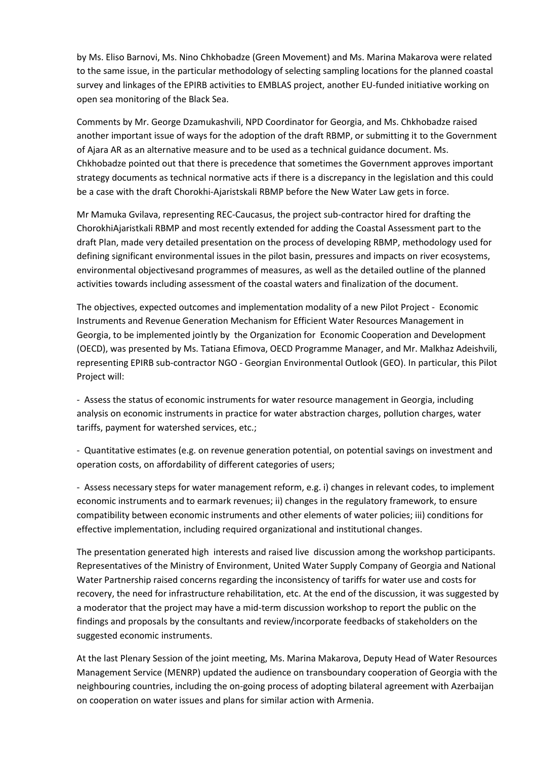by Ms. Eliso Barnovi, Ms. Nino Chkhobadze (Green Movement) and Ms. Marina Makarova were related to the same issue, in the particular methodology of selecting sampling locations for the planned coastal survey and linkages of the EPIRB activities to EMBLAS project, another EU-funded initiative working on open sea monitoring of the Black Sea.

Comments by Mr. George Dzamukashvili, NPD Coordinator for Georgia, and Ms. Chkhobadze raised another important issue of ways for the adoption of the draft RBMP, or submitting it to the Government of Ajara AR as an alternative measure and to be used as a technical guidance document. Ms. Chkhobadze pointed out that there is precedence that sometimes the Government approves important strategy documents as technical normative acts if there is a discrepancy in the legislation and this could be a case with the draft Chorokhi-Ajaristskali RBMP before the New Water Law gets in force.

Mr Mamuka Gvilava, representing REC-Caucasus, the project sub-contractor hired for drafting the ChorokhiAjaristkali RBMP and most recently extended for adding the Coastal Assessment part to the draft Plan, made very detailed presentation on the process of developing RBMP, methodology used for defining significant environmental issues in the pilot basin, pressures and impacts on river ecosystems, environmental objectivesand programmes of measures, as well as the detailed outline of the planned activities towards including assessment of the coastal waters and finalization of the document.

The objectives, expected outcomes and implementation modality of a new Pilot Project - Economic Instruments and Revenue Generation Mechanism for Efficient Water Resources Management in Georgia, to be implemented jointly by the Organization for Economic Cooperation and Development (OECD), was presented by Ms. Tatiana Efimova, OECD Programme Manager, and Mr. Malkhaz Adeishvili, representing EPIRB sub-contractor NGO - Georgian Environmental Outlook (GEO). In particular, this Pilot Project will:

- Assess the status of economic instruments for water resource management in Georgia, including analysis on economic instruments in practice for water abstraction charges, pollution charges, water tariffs, payment for watershed services, etc.;

- Quantitative estimates (e.g. on revenue generation potential, on potential savings on investment and operation costs, on affordability of different categories of users;

- Assess necessary steps for water management reform, e.g. i) changes in relevant codes, to implement economic instruments and to earmark revenues; ii) changes in the regulatory framework, to ensure compatibility between economic instruments and other elements of water policies; iii) conditions for effective implementation, including required organizational and institutional changes.

The presentation generated high interests and raised live discussion among the workshop participants. Representatives of the Ministry of Environment, United Water Supply Company of Georgia and National Water Partnership raised concerns regarding the inconsistency of tariffs for water use and costs for recovery, the need for infrastructure rehabilitation, etc. At the end of the discussion, it was suggested by a moderator that the project may have a mid-term discussion workshop to report the public on the findings and proposals by the consultants and review/incorporate feedbacks of stakeholders on the suggested economic instruments.

At the last Plenary Session of the joint meeting, Ms. Marina Makarova, Deputy Head of Water Resources Management Service (MENRP) updated the audience on transboundary cooperation of Georgia with the neighbouring countries, including the on-going process of adopting bilateral agreement with Azerbaijan on cooperation on water issues and plans for similar action with Armenia.